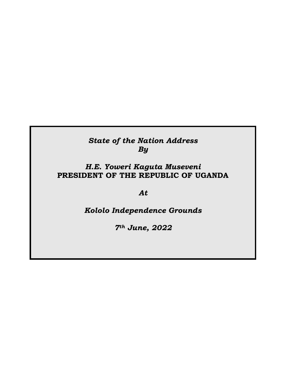## *State of the Nation Address By*

## *H.E. Yoweri Kaguta Museveni* **PRESIDENT OF THE REPUBLIC OF UGANDA**

*At*

## *Kololo Independence Grounds*

*7th June, 2022*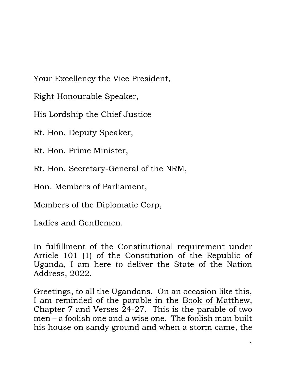Your Excellency the Vice President,

Right Honourable Speaker,

His Lordship the Chief Justice

Rt. Hon. Deputy Speaker,

Rt. Hon. Prime Minister,

Rt. Hon. Secretary-General of the NRM,

Hon. Members of Parliament,

Members of the Diplomatic Corp,

Ladies and Gentlemen.

In fulfillment of the Constitutional requirement under Article 101 (1) of the Constitution of the Republic of Uganda, I am here to deliver the State of the Nation Address, 2022.

Greetings, to all the Ugandans. On an occasion like this, I am reminded of the parable in the Book of Matthew, Chapter 7 and Verses  $24-27$ . This is the parable of two men – a foolish one and a wise one. The foolish man built his house on sandy ground and when a storm came, the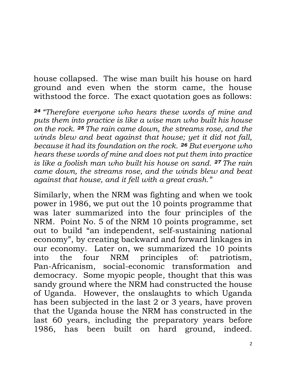house collapsed. The wise man built his house on hard ground and even when the storm came, the house withstood the force. The exact quotation goes as follows:

*<sup>24</sup> "Therefore everyone who hears these words of mine and puts them into practice is like a wise man who built his house on the rock. <sup>25</sup> The rain came down, the streams rose, and the winds blew and beat against that house; yet it did not fall, because it had its foundation on the rock. <sup>26</sup> But everyone who hears these words of mine and does not put them into practice is like a foolish man who built his house on sand. <sup>27</sup> The rain came down, the streams rose, and the winds blew and beat against that house, and it fell with a great crash."*

Similarly, when the NRM was fighting and when we took power in 1986, we put out the 10 points programme that was later summarized into the four principles of the NRM. Point No. 5 of the NRM 10 points programme, set out to build "an independent, self-sustaining national economy", by creating backward and forward linkages in our economy. Later on, we summarized the 10 points into the four NRM principles of: patriotism, Pan-Africanism, social-economic transformation and democracy. Some myopic people, thought that this was sandy ground where the NRM had constructed the house of Uganda. However, the onslaughts to which Uganda has been subjected in the last 2 or 3 years, have proven that the Uganda house the NRM has constructed in the last 60 years, including the preparatory years before 1986, has been built on hard ground, indeed.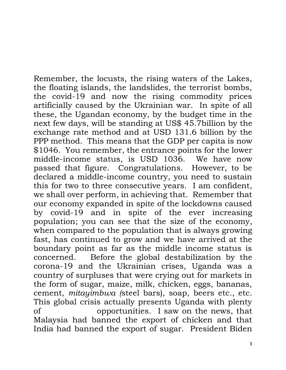Remember, the locusts, the rising waters of the Lakes, the floating islands, the landslides, the terrorist bombs, the covid-19 and now the rising commodity prices artificially caused by the Ukrainian war. In spite of all these, the Ugandan economy, by the budget time in the next few days, will be standing at US\$ 45.7billion by the exchange rate method and at USD 131.6 billion by the PPP method. This means that the GDP per capita is now \$1046. You remember, the entrance points for the lower middle-income status, is USD 1036. We have now passed that figure. Congratulations. However, to be declared a middle-income country, you need to sustain this for two to three consecutive years. I am confident, we shall over perform, in achieving that. Remember that our economy expanded in spite of the lockdowns caused by covid-19 and in spite of the ever increasing population; you can see that the size of the economy, when compared to the population that is always growing fast, has continued to grow and we have arrived at the boundary point as far as the middle income status is concerned. Before the global destabilization by the corona-19 and the Ukrainian crises, Uganda was a country of surpluses that were crying out for markets in the form of sugar, maize, milk, chicken, eggs, bananas, cement, *mitayimbwa (*steel bars), soap, beers etc., etc. This global crisis actually presents Uganda with plenty of opportunities. I saw on the news, that Malaysia had banned the export of chicken and that India had banned the export of sugar. President Biden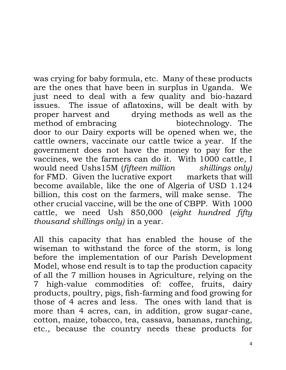was crying for baby formula, etc. Many of these products are the ones that have been in surplus in Uganda. We just need to deal with a few quality and bio-hazard issues. The issue of aflatoxins, will be dealt with by proper harvest and drying methods as well as the method of embracing biotechnology.The door to our Dairy exports will be opened when we, the cattle owners, vaccinate our cattle twice a year. If the government does not have the money to pay for the vaccines, we the farmers can do it. With 1000 cattle, I would need Ushs15M (*fifteen million shillings only)* for FMD. Given the lucrative export markets that will become available, like the one of Algeria of USD 1.124 billion, this cost on the farmers, will make sense. The other crucial vaccine, will be the one of CBPP. With 1000 cattle, we need Ush 850,000 (*eight hundred fifty thousand shillings only)* in a year.

All this capacity that has enabled the house of the wiseman to withstand the force of the storm, is long before the implementation of our Parish Development Model, whose end result is to tap the production capacity of all the 7 million houses in Agriculture, relying on the 7 high-value commodities of: coffee, fruits, dairy products, poultry, pigs, fish-farming and food growing for those of 4 acres and less. The ones with land that is more than 4 acres, can, in addition, grow sugar-cane, cotton, maize, tobacco, tea, cassava, bananas, ranching, etc., because the country needs these products for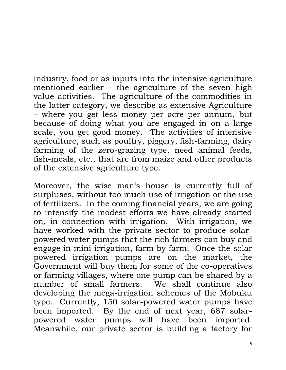industry, food or as inputs into the intensive agriculture mentioned earlier – the agriculture of the seven high value activities. The agriculture of the commodities in the latter category, we describe as extensive Agriculture – where you get less money per acre per annum, but because of doing what you are engaged in on a large scale, you get good money. The activities of intensive agriculture, such as poultry, piggery, fish-farming, dairy farming of the zero-grazing type, need animal feeds, fish-meals, etc., that are from maize and other products of the extensive agriculture type.

Moreover, the wise man's house is currently full of surpluses, without too much use of irrigation or the use of fertilizers. In the coming financial years, we are going to intensify the modest efforts we have already started on, in connection with irrigation. With irrigation, we have worked with the private sector to produce solarpowered water pumps that the rich farmers can buy and engage in mini-irrigation, farm by farm. Once the solar powered irrigation pumps are on the market, the Government will buy them for some of the co-operatives or farming villages, where one pump can be shared by a number of small farmers. We shall continue also developing the mega-irrigation schemes of the Mobuku type. Currently, 150 solar-powered water pumps have been imported. By the end of next year, 687 solarpowered water pumps will have been imported. Meanwhile, our private sector is building a factory for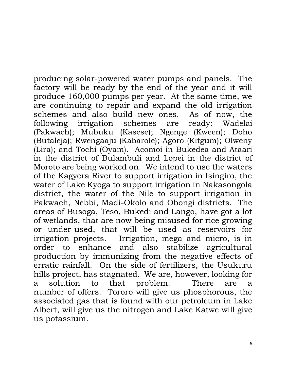producing solar-powered water pumps and panels. The factory will be ready by the end of the year and it will produce 160,000 pumps per year. At the same time, we are continuing to repair and expand the old irrigation schemes and also build new ones. As of now, the following irrigation schemes are ready: Wadelai (Pakwach); Mubuku (Kasese); Ngenge (Kween); Doho (Butaleja); Rwengaaju (Kabarole); Agoro (Kitgum); Olweny (Lira); and Tochi (Oyam). Acomoi in Bukedea and Ataari in the district of Bulambuli and Lopei in the district of Moroto are being worked on. We intend to use the waters of the Kagyera River to support irrigation in Isingiro, the water of Lake Kyoga to support irrigation in Nakasongola district, the water of the Nile to support irrigation in Pakwach, Nebbi, Madi-Okolo and Obongi districts. The areas of Busoga, Teso, Bukedi and Lango, have got a lot of wetlands, that are now being misused for rice growing or under-used, that will be used as reservoirs for irrigation projects. Irrigation, mega and micro, is in order to enhance and also stabilize agricultural production by immunizing from the negative effects of erratic rainfall. On the side of fertilizers, the Usukuru hills project, has stagnated. We are, however, looking for a solution to that problem. There are a number of offers. Tororo will give us phosphorous, the associated gas that is found with our petroleum in Lake Albert, will give us the nitrogen and Lake Katwe will give us potassium.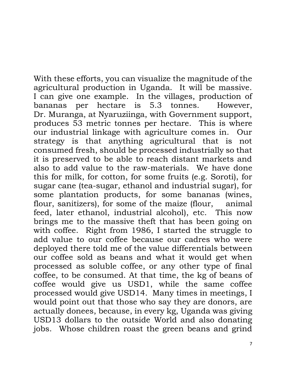With these efforts, you can visualize the magnitude of the agricultural production in Uganda. It will be massive. I can give one example. In the villages, production of bananas per hectare is 5.3 tonnes. However, Dr. Muranga, at Nyaruziinga, with Government support, produces 53 metric tonnes per hectare. This is where our industrial linkage with agriculture comes in. Our strategy is that anything agricultural that is not consumed fresh, should be processed industrially so that it is preserved to be able to reach distant markets and also to add value to the raw-materials. We have done this for milk, for cotton, for some fruits (e.g. Soroti), for sugar cane (tea-sugar, ethanol and industrial sugar), for some plantation products, for some bananas (wines, flour, sanitizers), for some of the maize (flour, animal feed, later ethanol, industrial alcohol), etc. This now brings me to the massive theft that has been going on with coffee. Right from 1986, I started the struggle to add value to our coffee because our cadres who were deployed there told me of the value differentials between our coffee sold as beans and what it would get when processed as soluble coffee, or any other type of final coffee, to be consumed. At that time, the kg of beans of coffee would give us USD1, while the same coffee processed would give USD14. Many times in meetings, I would point out that those who say they are donors, are actually donees, because, in every kg, Uganda was giving USD13 dollars to the outside World and also donating jobs. Whose children roast the green beans and grind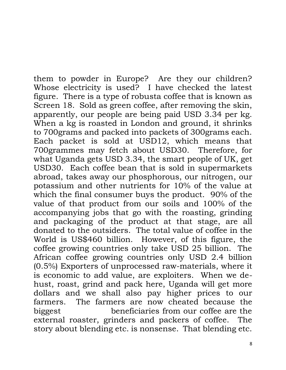them to powder in Europe? Are they our children? Whose electricity is used? I have checked the latest figure. There is a type of robusta coffee that is known as Screen 18. Sold as green coffee, after removing the skin, apparently, our people are being paid USD 3.34 per kg. When a kg is roasted in London and ground, it shrinks to 700grams and packed into packets of 300grams each. Each packet is sold at USD12, which means that 700grammes may fetch about USD30. Therefore, for what Uganda gets USD 3.34, the smart people of UK, get USD30. Each coffee bean that is sold in supermarkets abroad, takes away our phosphorous, our nitrogen, our potassium and other nutrients for 10% of the value at which the final consumer buys the product. 90% of the value of that product from our soils and 100% of the accompanying jobs that go with the roasting, grinding and packaging of the product at that stage, are all donated to the outsiders. The total value of coffee in the World is US\$460 billion. However, of this figure, the coffee growing countries only take USD 25 billion. The African coffee growing countries only USD 2.4 billion (0.5%) Exporters of unprocessed raw-materials, where it is economic to add value, are exploiters. When we dehust, roast, grind and pack here, Uganda will get more dollars and we shall also pay higher prices to our farmers. The farmers are now cheated because the biggest beneficiaries from our coffee are the external roaster, grinders and packers of coffee. The story about blending etc. is nonsense. That blending etc.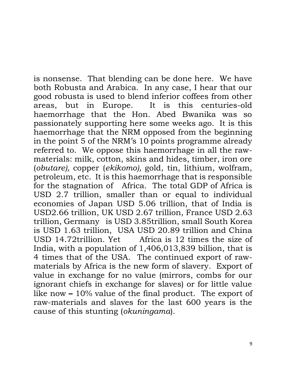is nonsense. That blending can be done here. We have both Robusta and Arabica. In any case, I hear that our good robusta is used to blend inferior coffees from other areas, but in Europe. It is this centuries-old haemorrhage that the Hon. Abed Bwanika was so passionately supporting here some weeks ago. It is this haemorrhage that the NRM opposed from the beginning in the point 5 of the NRM's 10 points programme already referred to. We oppose this haemorrhage in all the rawmaterials: milk, cotton, skins and hides, timber, iron ore (*obutare),* copper (*ekikomo),* gold, tin, lithium, wolfram, petroleum, etc. It is this haemorrhage that is responsible for the stagnation of Africa. The total GDP of Africa is USD 2.7 trillion, smaller than or equal to individual economies of Japan USD 5.06 trillion, that of India is USD2.66 trillion, UK USD 2.67 trillion, France USD 2.63 trillion, Germany is USD 3.85trillion, small South Korea is USD 1.63 trillion, USA USD 20.89 trillion and China USD 14.72trillion. Yet Africa is 12 times the size of India, with a population of 1,406,013,839 billion, that is 4 times that of the USA. The continued export of rawmaterials by Africa is the new form of slavery. Export of value in exchange for no value (mirrors, combs for our ignorant chiefs in exchange for slaves) or for little value like now **–** 10% value of the final product. The export of raw-materials and slaves for the last 600 years is the cause of this stunting (*okuningama*).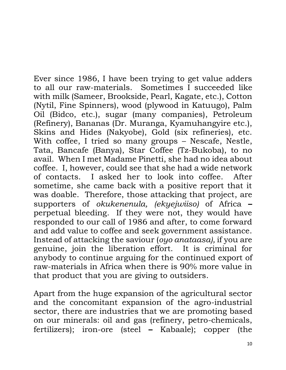Ever since 1986, I have been trying to get value adders to all our raw-materials. Sometimes I succeeded like with milk (Sameer, Brookside, Pearl, Kagate, etc.), Cotton (Nytil, Fine Spinners), wood (plywood in Katuugo), Palm Oil (Bidco, etc.), sugar (many companies), Petroleum (Refinery), Bananas (Dr. Muranga, Kyamuhangyire etc.), Skins and Hides (Nakyobe), Gold (six refineries), etc. With coffee, I tried so many groups – Nescafe, Nestle, Tata, Bancafe (Banya), Star Coffee (Tz-Bukoba), to no avail. When I met Madame Pinetti, she had no idea about coffee. I, however, could see that she had a wide network of contacts. I asked her to look into coffee. After sometime, she came back with a positive report that it was doable. Therefore, those attacking that project, are supporters of *okukenenula, (ekyejwiiso)* of Africa **–** perpetual bleeding*.* If they were not, they would have responded to our call of 1986 and after, to come forward and add value to coffee and seek government assistance. Instead of attacking the saviour (*oyo anataasa),* if you are genuine, join the liberation effort. It is criminal for anybody to continue arguing for the continued export of raw-materials in Africa when there is 90% more value in that product that you are giving to outsiders.

Apart from the huge expansion of the agricultural sector and the concomitant expansion of the agro-industrial sector, there are industries that we are promoting based on our minerals: oil and gas (refinery, petro-chemicals, fertilizers); iron-ore (steel **–** Kabaale); copper (the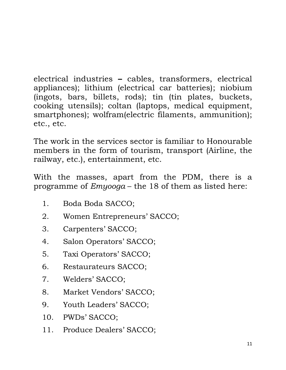electrical industries **–** cables, transformers, electrical appliances); lithium (electrical car batteries); niobium (ingots, bars, billets, rods); tin (tin plates, buckets, cooking utensils); coltan (laptops, medical equipment, smartphones); wolfram(electric filaments, ammunition); etc., etc.

The work in the services sector is familiar to Honourable members in the form of tourism, transport (Airline, the railway, etc.), entertainment, etc.

With the masses, apart from the PDM, there is a programme of *Emyooga* – the 18 of them as listed here:

- 1. Boda Boda SACCO;
- 2. Women Entrepreneurs' SACCO;
- 3. Carpenters' SACCO;
- 4. Salon Operators' SACCO;
- 5. Taxi Operators' SACCO;
- 6. Restaurateurs SACCO;
- 7. Welders' SACCO;
- 8. Market Vendors' SACCO;
- 9. Youth Leaders' SACCO;
- 10. PWDs' SACCO;
- 11. Produce Dealers' SACCO;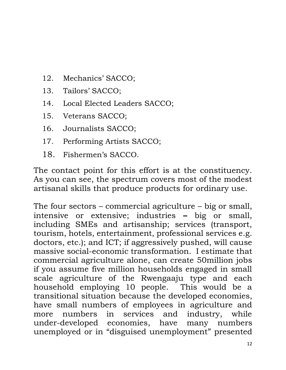- 12. Mechanics' SACCO;
- 13. Tailors' SACCO;
- 14. Local Elected Leaders SACCO;
- 15. Veterans SACCO;
- 16. Journalists SACCO;
- 17. Performing Artists SACCO;
- 18. Fishermen's SACCO.

The contact point for this effort is at the constituency. As you can see, the spectrum covers most of the modest artisanal skills that produce products for ordinary use.

The four sectors – commercial agriculture – big or small, intensive or extensive; industries **–** big or small, including SMEs and artisanship; services (transport, tourism, hotels, entertainment, professional services e.g. doctors, etc.); and ICT; if aggressively pushed, will cause massive social-economic transformation. I estimate that commercial agriculture alone, can create 50million jobs if you assume five million households engaged in small scale agriculture of the Rwengaaju type and each household employing 10 people. This would be a transitional situation because the developed economies, have small numbers of employees in agriculture and more numbers in services and industry, while under-developed economies, have many numbers unemployed or in "disguised unemployment" presented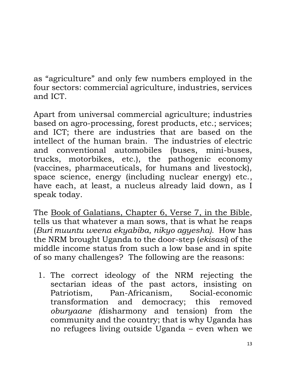as "agriculture" and only few numbers employed in the four sectors: commercial agriculture, industries, services and ICT.

Apart from universal commercial agriculture; industries based on agro-processing, forest products, etc.; services; and ICT; there are industries that are based on the intellect of the human brain. The industries of electric and conventional automobiles (buses, mini-buses, trucks, motorbikes, etc.), the pathogenic economy (vaccines, pharmaceuticals, for humans and livestock), space science, energy (including nuclear energy) etc., have each, at least, a nucleus already laid down, as I speak today.

The Book of Galatians, Chapter 6, Verse 7, in the Bible, tells us that whatever a man sows, that is what he reaps (*Buri muuntu weena ekyabiba, nikyo agyesha).* How has the NRM brought Uganda to the door-step (*ekisasi*) of the middle income status from such a low base and in spite of so many challenges? The following are the reasons:

1. The correct ideology of the NRM rejecting the sectarian ideas of the past actors, insisting on Patriotism, Pan-Africanism, Social-economic transformation and democracy; this removed *oburyaane (*disharmony and tension) from the community and the country; that is why Uganda has no refugees living outside Uganda – even when we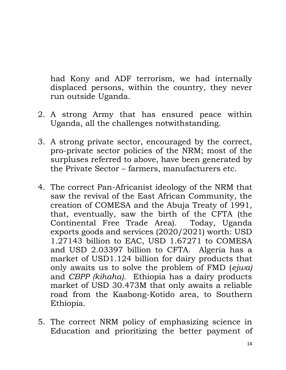had Kony and ADF terrorism, we had internally displaced persons, within the country, they never run outside Uganda.

- 2. A strong Army that has ensured peace within Uganda, all the challenges notwithstanding.
- 3. A strong private sector, encouraged by the correct, pro-private sector policies of the NRM; most of the surpluses referred to above, have been generated by the Private Sector – farmers, manufacturers etc.
- 4. The correct Pan-Africanist ideology of the NRM that saw the revival of the East African Community, the creation of COMESA and the Abuja Treaty of 1991, that, eventually, saw the birth of the CFTA (the Continental Free Trade Area). Today, Uganda exports goods and services (2020/2021) worth: USD 1.27143 billion to EAC, USD 1.67271 to COMESA and USD 2.03397 billion to CFTA. Algeria has a market of USD1.124 billion for dairy products that only awaits us to solve the problem of FMD (*ejwa)*  and *CBPP (kihaha)*. Ethiopia has a dairy products market of USD 30.473M that only awaits a reliable road from the Kaabong-Kotido area, to Southern Ethiopia.
- 5. The correct NRM policy of emphasizing science in Education and prioritizing the better payment of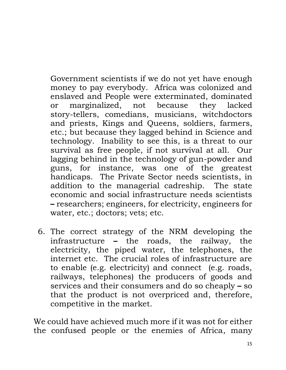Government scientists if we do not yet have enough money to pay everybody. Africa was colonized and enslaved and People were exterminated, dominated or marginalized, not because they lacked story-tellers, comedians, musicians, witchdoctors and priests, Kings and Queens, soldiers, farmers, etc.; but because they lagged behind in Science and technology. Inability to see this, is a threat to our survival as free people, if not survival at all. Our lagging behind in the technology of gun-powder and guns, for instance, was one of the greatest handicaps. The Private Sector needs scientists, in addition to the managerial cadreship. The state economic and social infrastructure needs scientists **–** researchers; engineers, for electricity, engineers for water, etc.; doctors; vets; etc.

6. The correct strategy of the NRM developing the infrastructure **–** the roads, the railway, the electricity, the piped water, the telephones, the internet etc. The crucial roles of infrastructure are to enable (e.g. electricity) and connect (e.g. roads, railways, telephones) the producers of goods and services and their consumers and do so cheaply **–** so that the product is not overpriced and, therefore, competitive in the market.

We could have achieved much more if it was not for either the confused people or the enemies of Africa, many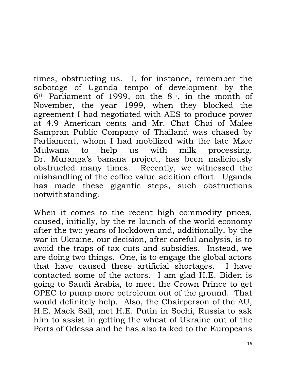times, obstructing us. I, for instance, remember the sabotage of Uganda tempo of development by the 6th Parliament of 1999, on the 8th, in the month of November, the year 1999, when they blocked the agreement I had negotiated with AES to produce power at 4.9 American cents and Mr. Chat Chai of Malee Sampran Public Company of Thailand was chased by Parliament, whom I had mobilized with the late Mzee Mulwana to help us with milk processing. Dr. Muranga's banana project, has been maliciously obstructed many times. Recently, we witnessed the mishandling of the coffee value addition effort. Uganda has made these gigantic steps, such obstructions notwithstanding.

When it comes to the recent high commodity prices, caused, initially, by the re-launch of the world economy after the two years of lockdown and, additionally, by the war in Ukraine, our decision, after careful analysis, is to avoid the traps of tax cuts and subsidies. Instead, we are doing two things. One, is to engage the global actors that have caused these artificial shortages. I have contacted some of the actors. I am glad H.E. Biden is going to Saudi Arabia, to meet the Crown Prince to get OPEC to pump more petroleum out of the ground. That would definitely help. Also, the Chairperson of the AU, H.E. Mack Sall, met H.E. Putin in Sochi, Russia to ask him to assist in getting the wheat of Ukraine out of the Ports of Odessa and he has also talked to the Europeans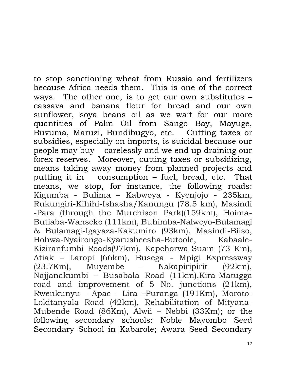to stop sanctioning wheat from Russia and fertilizers because Africa needs them. This is one of the correct ways. The other one, is to get our own substitutes **–** cassava and banana flour for bread and our own sunflower, soya beans oil as we wait for our more quantities of Palm Oil from Sango Bay, Mayuge, Buvuma, Maruzi, Bundibugyo, etc. Cutting taxes or subsidies, especially on imports, is suicidal because our people may buy carelessly and we end up draining our forex reserves. Moreover, cutting taxes or subsidizing, means taking away money from planned projects and putting it in consumption – fuel, bread, etc. That means, we stop, for instance, the following roads: Kigumba - Bulima – Kabwoya - Kyenjojo - 235km, Rukungiri-Kihihi-Ishasha/Kanungu (78.5 km), Masindi -Para (through the Murchison Park)(159km), Hoima-Butiaba-Wanseko (111km), Buhimba-Nalweyo-Bulamagi & Bulamagi-Igayaza-Kakumiro (93km), Masindi-Biiso, Hohwa-Nyairongo-Kyarusheesha-Butoole, Kabaale-Kiziranfumbi Roads(97km), Kapchorwa-Suam (73 Km), Atiak – Laropi (66km), Busega - Mpigi Expressway (23.7Km), Muyembe – Nakapiripirit (92km), Najjanakumbi – Busabala Road (11km),Kira-Matugga road and improvement of 5 No. junctions (21km), Rwenkunyu - Apac - Lira –Puranga (191Km), Moroto-Lokitanyala Road (42km), Rehabilitation of Mityana-Mubende Road (86Km), Alwii – Nebbi (33Km); or the following secondary schools: Noble Mayombo Seed Secondary School in Kabarole; Awara Seed Secondary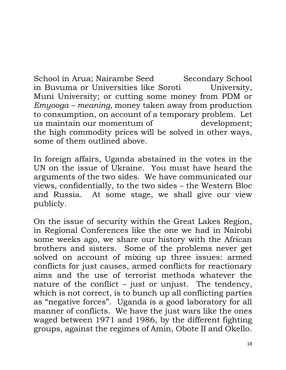School in Arua; Nairambe Seed Secondary School in Buvuma or Universities like Soroti University, Muni University; or cutting some money from PDM or *Emyooga – meaning,* money taken away from production to consumption, on account of a temporary problem. Let us maintain our momentum of development; the high commodity prices will be solved in other ways, some of them outlined above.

In foreign affairs, Uganda abstained in the votes in the UN on the issue of Ukraine. You must have heard the arguments of the two sides. We have communicated our views, confidentially, to the two sides – the Western Bloc and Russia. At some stage, we shall give our view publicly.

On the issue of security within the Great Lakes Region, in Regional Conferences like the one we had in Nairobi some weeks ago, we share our history with the African brothers and sisters. Some of the problems never get solved on account of mixing up three issues: armed conflicts for just causes, armed conflicts for reactionary aims and the use of terrorist methods whatever the nature of the conflict – just or unjust. The tendency, which is not correct, is to bunch up all conflicting parties as "negative forces". Uganda is a good laboratory for all manner of conflicts. We have the just wars like the ones waged between 1971 and 1986, by the different fighting groups, against the regimes of Amin, Obote II and Okello.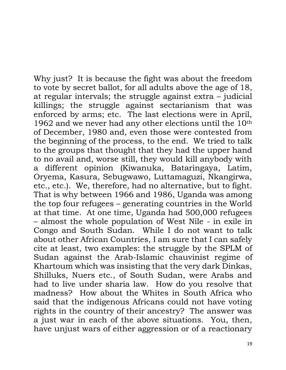Why just? It is because the fight was about the freedom to vote by secret ballot, for all adults above the age of 18, at regular intervals; the struggle against extra – judicial killings; the struggle against sectarianism that was enforced by arms; etc. The last elections were in April, 1962 and we never had any other elections until the 10th of December, 1980 and, even those were contested from the beginning of the process, to the end. We tried to talk to the groups that thought that they had the upper hand to no avail and, worse still, they would kill anybody with a different opinion (Kiwanuka, Bataringaya, Latim, Oryema, Kasura, Sebugwawo, Luttamaguzi, Nkangirwa, etc., etc.). We, therefore, had no alternative, but to fight. That is why between 1966 and 1986, Uganda was among the top four refugees – generating countries in the World at that time. At one time, Uganda had 500,000 refugees – almost the whole population of West Nile - in exile in Congo and South Sudan. While I do not want to talk about other African Countries, I am sure that I can safely cite at least, two examples: the struggle by the SPLM of Sudan against the Arab-Islamic chauvinist regime of Khartoum which was insisting that the very dark Dinkas, Shilluks, Nuers etc., of South Sudan, were Arabs and had to live under sharia law. How do you resolve that madness? How about the Whites in South Africa who said that the indigenous Africans could not have voting rights in the country of their ancestry? The answer was a just war in each of the above situations. You, then, have unjust wars of either aggression or of a reactionary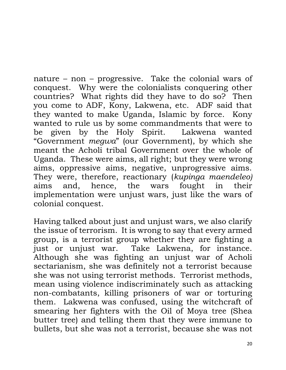nature – non – progressive. Take the colonial wars of conquest. Why were the colonialists conquering other countries? What rights did they have to do so? Then you come to ADF, Kony, Lakwena, etc. ADF said that they wanted to make Uganda, Islamic by force. Kony wanted to rule us by some commandments that were to be given by the Holy Spirit. Lakwena wanted "Government *megwa*" (our Government), by which she meant the Acholi tribal Government over the whole of Uganda. These were aims, all right; but they were wrong aims, oppressive aims, negative, unprogressive aims. They were, therefore, reactionary (*kupinga maendeleo)*  aims and, hence, the wars fought in their implementation were unjust wars, just like the wars of colonial conquest.

Having talked about just and unjust wars, we also clarify the issue of terrorism. It is wrong to say that every armed group, is a terrorist group whether they are fighting a just or unjust war. Take Lakwena, for instance. Although she was fighting an unjust war of Acholi sectarianism, she was definitely not a terrorist because she was not using terrorist methods. Terrorist methods, mean using violence indiscriminately such as attacking non-combatants, killing prisoners of war or torturing them. Lakwena was confused, using the witchcraft of smearing her fighters with the Oil of Moya tree (Shea butter tree) and telling them that they were immune to bullets, but she was not a terrorist, because she was not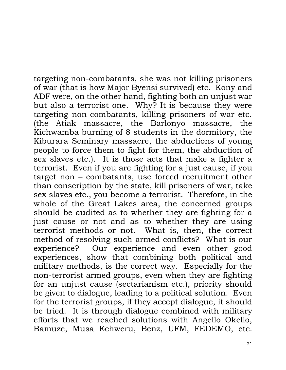targeting non-combatants, she was not killing prisoners of war (that is how Major Byensi survived) etc. Kony and ADF were, on the other hand, fighting both an unjust war but also a terrorist one. Why? It is because they were targeting non-combatants, killing prisoners of war etc. (the Atiak massacre, the Barlonyo massacre, the Kichwamba burning of 8 students in the dormitory, the Kiburara Seminary massacre, the abductions of young people to force them to fight for them, the abduction of sex slaves etc.). It is those acts that make a fighter a terrorist. Even if you are fighting for a just cause, if you target non – combatants, use forced recruitment other than conscription by the state, kill prisoners of war, take sex slaves etc., you become a terrorist. Therefore, in the whole of the Great Lakes area, the concerned groups should be audited as to whether they are fighting for a just cause or not and as to whether they are using terrorist methods or not. What is, then, the correct method of resolving such armed conflicts? What is our experience? Our experience and even other good experiences, show that combining both political and military methods, is the correct way. Especially for the non-terrorist armed groups, even when they are fighting for an unjust cause (sectarianism etc.), priority should be given to dialogue, leading to a political solution. Even for the terrorist groups, if they accept dialogue, it should be tried. It is through dialogue combined with military efforts that we reached solutions with Angello Okello, Bamuze, Musa Echweru, Benz, UFM, FEDEMO, etc.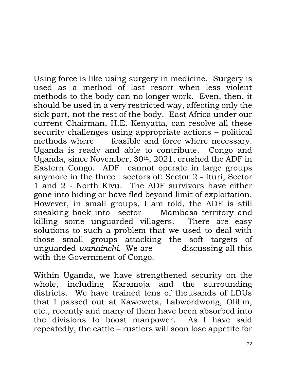Using force is like using surgery in medicine. Surgery is used as a method of last resort when less violent methods to the body can no longer work. Even, then, it should be used in a very restricted way, affecting only the sick part, not the rest of the body. East Africa under our current Chairman, H.E. Kenyatta, can resolve all these security challenges using appropriate actions – political methods where feasible and force where necessary. Uganda is ready and able to contribute. Congo and Uganda, since November, 30th, 2021, crushed the ADF in Eastern Congo. ADF cannot operate in large groups anymore in the three sectors of: Sector 2 - Ituri, Sector 1 and 2 - North Kivu. The ADF survivors have either gone into hiding or have fled beyond limit of exploitation. However, in small groups, I am told, the ADF is still sneaking back into sector - Mambasa territory and killing some unguarded villagers. There are easy solutions to such a problem that we used to deal with those small groups attacking the soft targets of unguarded *wanainchi.* We are discussing all this with the Government of Congo.

Within Uganda, we have strengthened security on the whole, including Karamoja and the surrounding districts. We have trained tens of thousands of LDUs that I passed out at Kaweweta, Labwordwong, Olilim, etc., recently and many of them have been absorbed into the divisions to boost manpower. As I have said repeatedly, the cattle – rustlers will soon lose appetite for

22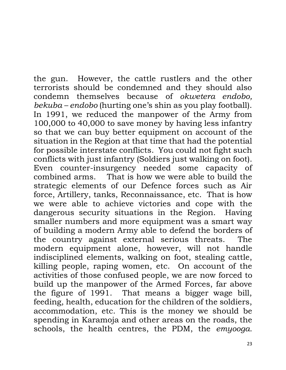the gun. However, the cattle rustlers and the other terrorists should be condemned and they should also condemn themselves because of *okwetera endobo, bekuba – endobo* (hurting one's shin as you play football). In 1991, we reduced the manpower of the Army from 100,000 to 40,000 to save money by having less infantry so that we can buy better equipment on account of the situation in the Region at that time that had the potential for possible interstate conflicts. You could not fight such conflicts with just infantry (Soldiers just walking on foot). Even counter-insurgency needed some capacity of combined arms. That is how we were able to build the strategic elements of our Defence forces such as Air force, Artillery, tanks, Reconnaissance, etc. That is how we were able to achieve victories and cope with the dangerous security situations in the Region. Having smaller numbers and more equipment was a smart way of building a modern Army able to defend the borders of the country against external serious threats. The modern equipment alone, however, will not handle indisciplined elements, walking on foot, stealing cattle, killing people, raping women, etc. On account of the activities of those confused people, we are now forced to build up the manpower of the Armed Forces, far above the figure of 1991. That means a bigger wage bill, feeding, health, education for the children of the soldiers, accommodation, etc. This is the money we should be spending in Karamoja and other areas on the roads, the schools, the health centres, the PDM, the *emyooga.*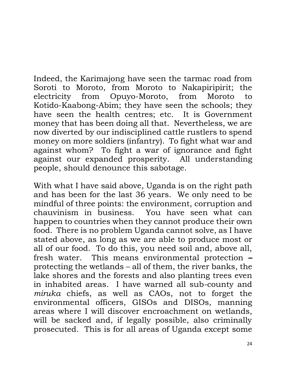Indeed, the Karimajong have seen the tarmac road from Soroti to Moroto, from Moroto to Nakapiripirit; the electricity from Opuyo-Moroto, from Moroto to Kotido-Kaabong-Abim; they have seen the schools; they have seen the health centres; etc. It is Government money that has been doing all that. Nevertheless, we are now diverted by our indisciplined cattle rustlers to spend money on more soldiers (infantry). To fight what war and against whom? To fight a war of ignorance and fight against our expanded prosperity. All understanding people, should denounce this sabotage.

With what I have said above, Uganda is on the right path and has been for the last 36 years. We only need to be mindful of three points: the environment, corruption and chauvinism in business. You have seen what can happen to countries when they cannot produce their own food. There is no problem Uganda cannot solve, as I have stated above, as long as we are able to produce most or all of our food. To do this, you need soil and, above all, fresh water. This means environmental protection **–** protecting the wetlands – all of them, the river banks, the lake shores and the forests and also planting trees even in inhabited areas. I have warned all sub-county and *miruka* chiefs, as well as CAOs, not to forget the environmental officers, GISOs and DISOs, manning areas where I will discover encroachment on wetlands, will be sacked and, if legally possible, also criminally prosecuted. This is for all areas of Uganda except some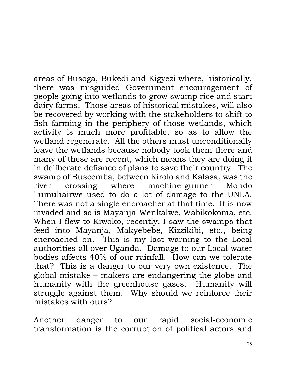areas of Busoga, Bukedi and Kigyezi where, historically, there was misguided Government encouragement of people going into wetlands to grow swamp rice and start dairy farms. Those areas of historical mistakes, will also be recovered by working with the stakeholders to shift to fish farming in the periphery of those wetlands, which activity is much more profitable, so as to allow the wetland regenerate. All the others must unconditionally leave the wetlands because nobody took them there and many of these are recent, which means they are doing it in deliberate defiance of plans to save their country. The swamp of Buseemba, between Kirolo and Kalasa, was the river crossing where machine-gunner Mondo Tumuhairwe used to do a lot of damage to the UNLA. There was not a single encroacher at that time. It is now invaded and so is Mayanja-Wenkalwe, Wabikokoma, etc. When I flew to Kiwoko, recently, I saw the swamps that feed into Mayanja, Makyebebe, Kizzikibi, etc., being encroached on. This is my last warning to the Local authorities all over Uganda. Damage to our Local water bodies affects 40% of our rainfall. How can we tolerate that? This is a danger to our very own existence. The global mistake – makers are endangering the globe and humanity with the greenhouse gases. Humanity will struggle against them. Why should we reinforce their mistakes with ours?

Another danger to our rapid social-economic transformation is the corruption of political actors and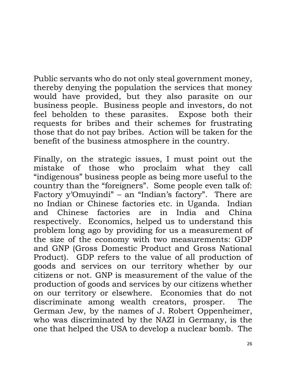Public servants who do not only steal government money, thereby denying the population the services that money would have provided, but they also parasite on our business people. Business people and investors, do not feel beholden to these parasites. Expose both their requests for bribes and their schemes for frustrating those that do not pay bribes. Action will be taken for the benefit of the business atmosphere in the country.

Finally, on the strategic issues, I must point out the mistake of those who proclaim what they call "indigenous" business people as being more useful to the country than the "foreigners". Some people even talk of: Factory y'Omuyindi" – an "Indian's factory". There are no Indian or Chinese factories etc. in Uganda. Indian and Chinese factories are in India and China respectively. Economics, helped us to understand this problem long ago by providing for us a measurement of the size of the economy with two measurements: GDP and GNP (Gross Domestic Product and Gross National Product). GDP refers to the value of all production of goods and services on our territory whether by our citizens or not. GNP is measurement of the value of the production of goods and services by our citizens whether on our territory or elsewhere. Economies that do not discriminate among wealth creators, prosper. The German Jew, by the names of J. Robert Oppenheimer, who was discriminated by the NAZI in Germany, is the one that helped the USA to develop a nuclear bomb. The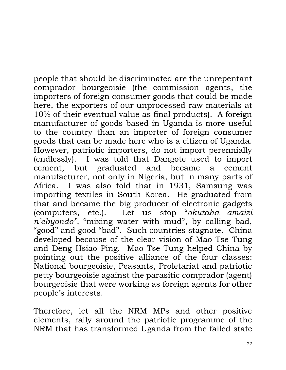people that should be discriminated are the unrepentant comprador bourgeoisie (the commission agents, the importers of foreign consumer goods that could be made here, the exporters of our unprocessed raw materials at 10% of their eventual value as final products). A foreign manufacturer of goods based in Uganda is more useful to the country than an importer of foreign consumer goods that can be made here who is a citizen of Uganda. However, patriotic importers, do not import perennially (endlessly). I was told that Dangote used to import cement, but graduated and became a cement manufacturer, not only in Nigeria, but in many parts of Africa. I was also told that in 1931, Samsung was importing textiles in South Korea. He graduated from that and became the big producer of electronic gadgets (computers, etc.). Let us stop "*okutaha amaizi n'ebyondo",* "mixing water with mud", by calling bad, "good" and good "bad". Such countries stagnate. China developed because of the clear vision of Mao Tse Tung and Deng Hsiao Ping. Mao Tse Tung helped China by pointing out the positive alliance of the four classes: National bourgeoisie, Peasants, Proletariat and patriotic petty bourgeoisie against the parasitic comprador (agent) bourgeoisie that were working as foreign agents for other people's interests.

Therefore, let all the NRM MPs and other positive elements, rally around the patriotic programme of the NRM that has transformed Uganda from the failed state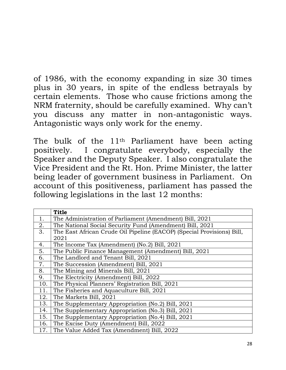of 1986, with the economy expanding in size 30 times plus in 30 years, in spite of the endless betrayals by certain elements. Those who cause frictions among the NRM fraternity, should be carefully examined. Why can't you discuss any matter in non-antagonistic ways. Antagonistic ways only work for the enemy.

The bulk of the 11th Parliament have been acting positively. I congratulate everybody, especially the Speaker and the Deputy Speaker. I also congratulate the Vice President and the Rt. Hon. Prime Minister, the latter being leader of government business in Parliament. On account of this positiveness, parliament has passed the following legislations in the last 12 months:

|     | <b>Title</b>                                                           |
|-----|------------------------------------------------------------------------|
| 1.  | The Administration of Parliament (Amendment) Bill, 2021                |
| 2.  | The National Social Security Fund (Amendment) Bill, 2021               |
| 3.  | The East African Crude Oil Pipeline (EACOP) (Special Provisions) Bill, |
|     | 2021                                                                   |
| 4.  | The Income Tax (Amendment) (No.2) Bill, 2021                           |
| 5.  | The Public Finance Management (Amendment) Bill, 2021                   |
| 6.  | The Landlord and Tenant Bill, 2021                                     |
| 7.  | The Succession (Amendment) Bill, 2021                                  |
| 8.  | The Mining and Minerals Bill, 2021                                     |
| 9.  | The Electricity (Amendment) Bill, 2022                                 |
| 10. | The Physical Planners' Registration Bill, 2021                         |
| 11. | The Fisheries and Aquaculture Bill, 2021                               |
| 12. | The Markets Bill, 2021                                                 |
| 13. | The Supplementary Appropriation (No.2) Bill, 2021                      |
| 14. | The Supplementary Appropriation (No.3) Bill, 2021                      |
| 15. | The Supplementary Appropriation (No.4) Bill, 2021                      |
| 16. | The Excise Duty (Amendment) Bill, 2022                                 |
| 17. | The Value Added Tax (Amendment) Bill, 2022                             |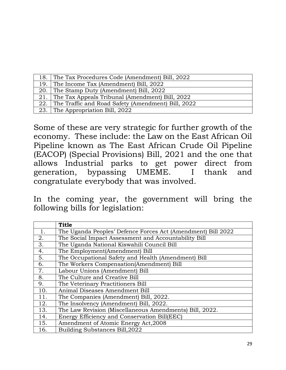| 18.1 | The Tax Procedures Code (Amendment) Bill, 2022         |
|------|--------------------------------------------------------|
|      | 19. The Income Tax (Amendment) Bill, 2022              |
|      | 20. The Stamp Duty (Amendment) Bill, 2022              |
|      | 21. The Tax Appeals Tribunal (Amendment) Bill, 2022    |
|      | 22. The Traffic and Road Safety (Amendment) Bill, 2022 |
|      | 23. The Appropriation Bill, 2022                       |

Some of these are very strategic for further growth of the economy. These include: the Law on the East African Oil Pipeline known as The East African Crude Oil Pipeline (EACOP) (Special Provisions) Bill, 2021 and the one that allows Industrial parks to get power direct from generation, bypassing UMEME. I thank and congratulate everybody that was involved.

In the coming year, the government will bring the following bills for legislation:

|     | <b>Title</b>                                                 |
|-----|--------------------------------------------------------------|
| 1.  | The Uganda Peoples' Defence Forces Act (Amendment) Bill 2022 |
| 2.  | The Social Impact Assessment and Accountability Bill         |
| 3.  | The Uganda National Kiswahili Council Bill                   |
| 4.  | The Employment(Amendment) Bill                               |
| 5.  | The Occupational Safety and Health (Amendment) Bill          |
| 6.  | The Workers Compensation(Amendment) Bill                     |
| 7.  | Labour Unions (Amendment) Bill                               |
| 8.  | The Culture and Creative Bill                                |
| 9.  | The Veterinary Practitioners Bill                            |
| 10. | Animal Diseases Amendment Bill                               |
| 11. | The Companies (Amendment) Bill, 2022.                        |
| 12. | The Insolvency (Amendment) Bill, 2022.                       |
| 13. | The Law Revision (Miscellaneous Amendments) Bill, 2022.      |
| 14. | Energy Efficiency and Conservation Bill(EEC)                 |
| 15. | Amendment of Atomic Energy Act, 2008                         |
| 16. | Building Substances Bill, 2022                               |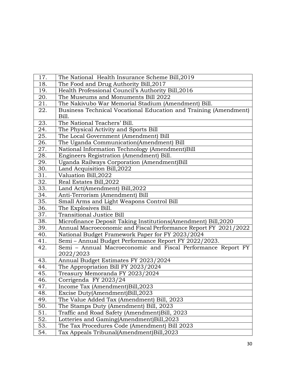| 17.               | The National Health Insurance Scheme Bill, 2019                  |
|-------------------|------------------------------------------------------------------|
| 18.               | The Food and Drug Authority Bill, 2017                           |
| 19.               | Health Professional Council's Authority Bill, 2016               |
| 20.               | The Museums and Monuments Bill 2022                              |
| 21.               | The Nakivubo War Memorial Stadium (Amendment) Bill.              |
| 22.               | Business Technical Vocational Education and Training (Amendment) |
|                   | Bill.                                                            |
| 23.               | The National Teachers' Bill.                                     |
| 24.               | The Physical Activity and Sports Bill                            |
| 25.               | The Local Government (Amendment) Bill                            |
| 26.               | The Uganda Communication(Amendment) Bill                         |
| 27.               | National Information Technology (Amendment)Bill                  |
| 28.               | Engineers Registration (Amendment) Bill.                         |
| 29.               | Uganda Railways Corporation (Amendment)Bill                      |
| 30.               | Land Acquisition Bill, 2022                                      |
| 31.               | Valuation Bill, 2022                                             |
| 32.               | Real Estates Bill, 2022                                          |
| 33.               | Land Act(Amendment) Bill, 2022                                   |
| $\overline{34}$ . | Anti-Terrorism (Amendment) Bill                                  |
| $\overline{35}$ . | Small Arms and Light Weapons Control Bill                        |
| 36.               | The Explosives Bill.                                             |
| $\overline{37}$ . | <b>Transitional Justice Bill</b>                                 |
| 38.               | Microfinance Deposit Taking Institutions(Amendment) Bill, 2020   |
| 39.               | Annual Macroeconomic and Fiscal Performance Report FY 2021/2022  |
| 40.               | National Budget Framework Paper for FY 2023/2024                 |
| 41.               | Semi - Annual Budget Performance Report FY 2022/2023.            |
| 42.               | Semi - Annual Macroeconomic and Fiscal Performance Report FY     |
|                   | 2022/2023                                                        |
| 43.               | Annual Budget Estimates FY 2023/2024                             |
| 44.               | The Appropriation Bill FY 2023/2024                              |
| 45.               | Treasury Memoranda FY 2023/2024                                  |
| 46.               | Corrigenda FY 2023/24                                            |
| 47.               | Income Tax (Amendment)Bill, 2023                                 |
| 48.               | Excise Duty(Amendment)Bill,2023                                  |
| 49.               | The Value Added Tax (Amendment) Bill, 2023                       |
| 50.               | The Stamps Duty (Amendment) Bill, 2023                           |
| 51.               | Traffic and Road Safety (Amendment)Bill, 2023                    |
| 52.               | Lotteries and Gaming(Amendment)Bill, 2023                        |
| 53.               | The Tax Procedures Code (Amendment) Bill 2023                    |
| 54.               | Tax Appeals Tribunal(Amendment)Bill,2023                         |